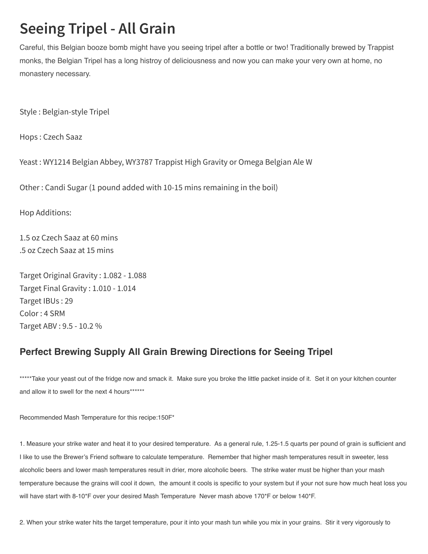## **Seeing Tripel - All Grain**

Careful, this Belgian booze bomb might have you seeing tripel after a bottle or two! Traditionally brewed by Trappist monks, the Belgian Tripel has a long histroy of deliciousness and now you can make your very own at home, no monastery necessary.

Style : Belgian-style Tripel

Hops : Czech Saaz

Yeast : WY1214 Belgian Abbey, WY3787 Trappist High Gravity or Omega Belgian Ale W

Other : Candi Sugar (1 pound added with 10-15 mins remaining in the boil)

Hop Additions:

1.5 oz Czech Saaz at 60 mins .5 oz Czech Saaz at 15 mins

Target Original Gravity : 1.082 - 1.088 Target Final Gravity : 1.010 - 1.014 Target IBUs : 29 Color : 4 SRM Target ABV : 9.5 - 10.2 %

## Perfect Brewing Supply All Grain Brewing Directions for Seeing Tripel

\*\*\*\*\*Take your yeast out of the fridge now and smack it. Make sure you broke the little packet inside of it. Set it on your kitchen counter and allow it to swell for the next 4 hours\*\*\*\*\*\*\*

Recommended Mash Temperature for this recipe:150F\*

1. Measure your strike water and heat it to your desired temperature. As a general rule, 1.25-1.5 quarts per pound of grain is sufficient and I like to use the Brewer's Friend software to calculate temperature. Remember that higher mash temperatures result in sweeter, less alcoholic beers and lower mash temperatures result in drier, more alcoholic beers. The strike water must be higher than your mash temperature because the grains will cool it down, the amount it cools is specific to your system but if your not sure how much heat loss you will have start with 8-10\*F over your desired Mash Temperature Never mash above 170\*F or below 140\*F.

2. When your strike water hits the target temperature, pour it into your mash tun while you mix in your grains. Stir it very vigorously to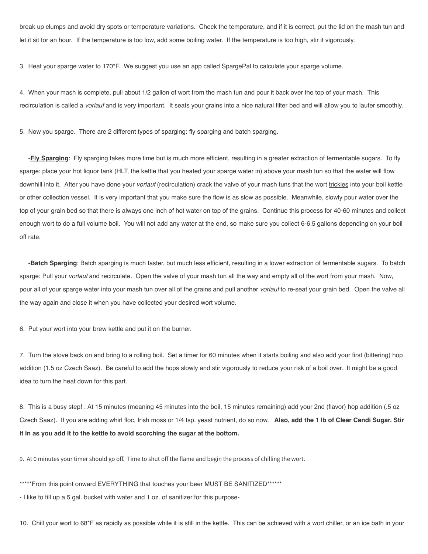break up clumps and avoid dry spots or temperature variations. Check the temperature, and if it is correct, put the lid on the mash tun and let it sit for an hour. If the temperature is too low, add some boiling water. If the temperature is too high, stir it vigorously.

3. Heat your sparge water to 170\*F. We suggest you use an app called SpargePal to calculate your sparge volume.

4. When your mash is complete, pull about 1/2 gallon of wort from the mash tun and pour it back over the top of your mash. This recirculation is called a *vorlauf* and is very important. It seats your grains into a nice natural filter bed and will allow you to lauter smoothly.

5. Now you sparge. There are 2 different types of sparging: fly sparging and batch sparging.

-**Fly Sparging**: Fly sparging takes more time but is much more efficient, resulting in a greater extraction of fermentable sugars. To fly sparge: place your hot liquor tank (HLT, the kettle that you heated your sparge water in) above your mash tun so that the water will flow downhill into it. After you have done your vorlauf (recirculation) crack the valve of your mash tuns that the wort trickles into your boil kettle or other collection vessel. It is very important that you make sure the flow is as slow as possible. Meanwhile, slowly pour water over the top of your grain bed so that there is always one inch of hot water on top of the grains. Continue this process for 40-60 minutes and collect enough wort to do a full volume boil. You will not add any water at the end, so make sure you collect 6-6.5 gallons depending on your boil off rate.

-**Batch Sparging**: Batch sparging is much faster, but much less efficient, resulting in a lower extraction of fermentable sugars. To batch sparge: Pull your vorlauf and recirculate. Open the valve of your mash tun all the way and empty all of the wort from your mash. Now, pour all of your sparge water into your mash tun over all of the grains and pull another *vorlauf* to re-seat your grain bed. Open the valve all the way again and close it when you have collected your desired wort volume.

6. Put your wort into your brew kettle and put it on the burner.

7. Turn the stove back on and bring to a rolling boil. Set a timer for 60 minutes when it starts boiling and also add your first (bittering) hop addition (1.5 oz Czech Saaz). Be careful to add the hops slowly and stir vigorously to reduce your risk of a boil over. It might be a good idea to turn the heat down for this part.

8. This is a busy step! : At 15 minutes (meaning 45 minutes into the boil, 15 minutes remaining) add your 2nd (flavor) hop addition (.5 oz Czech Saaz). If you are adding whirl floc, Irish moss or 1/4 tsp. yeast nutrient, do so now. Also, add the 1 lb of Clear Candi Sugar. Stir it in as you add it to the kettle to avoid scorching the sugar at the bottom.

9. At 0 minutes your timer should go off. Time to shut off the flame and begin the process of chilling the wort.

\*\*\*\*\*From this point onward EVERYTHING that touches your beer MUST BE SANITIZED\*\*\*\*\*\*

- I like to fill up a 5 gal. bucket with water and 1 oz. of sanitizer for this purpose-

10. Chill your wort to 68\*F as rapidly as possible while it is still in the kettle. This can be achieved with a wort chiller, or an ice bath in your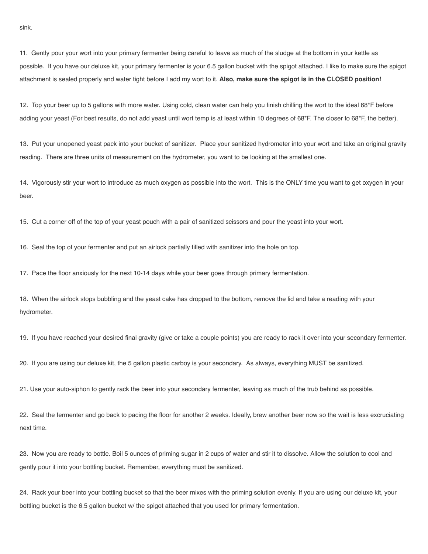11. Gently pour your wort into your primary fermenter being careful to leave as much of the sludge at the bottom in your kettle as possible. If you have our deluxe kit, your primary fermenter is your 6.5 gallon bucket with the spigot attached. I like to make sure the spigot attachment is sealed properly and water tight before I add my wort to it. Also, make sure the spigot is in the CLOSED position!

12. Top your beer up to 5 gallons with more water. Using cold, clean water can help you finish chilling the wort to the ideal 68\*F before adding your yeast (For best results, do not add yeast until wort temp is at least within 10 degrees of 68\*F. The closer to 68\*F, the better).

13. Put your unopened yeast pack into your bucket of sanitizer. Place your sanitized hydrometer into your wort and take an original gravity reading. There are three units of measurement on the hydrometer, you want to be looking at the smallest one.

14. Vigorously stir your wort to introduce as much oxygen as possible into the wort. This is the ONLY time you want to get oxygen in your beer.

15. Cut a corner off of the top of your yeast pouch with a pair of sanitized scissors and pour the yeast into your wort.

16. Seal the top of your fermenter and put an airlock partially filled with sanitizer into the hole on top.

17. Pace the floor anxiously for the next 10-14 days while your beer goes through primary fermentation.

18. When the airlock stops bubbling and the yeast cake has dropped to the bottom, remove the lid and take a reading with your hydrometer.

19. If you have reached your desired final gravity (give or take a couple points) you are ready to rack it over into your secondary fermenter.

20. If you are using our deluxe kit, the 5 gallon plastic carboy is your secondary. As always, everything MUST be sanitized.

21. Use your auto-siphon to gently rack the beer into your secondary fermenter, leaving as much of the trub behind as possible.

22. Seal the fermenter and go back to pacing the floor for another 2 weeks. Ideally, brew another beer now so the wait is less excruciating next time.

23. Now you are ready to bottle. Boil 5 ounces of priming sugar in 2 cups of water and stir it to dissolve. Allow the solution to cool and gently pour it into your bottling bucket. Remember, everything must be sanitized.

24. Rack your beer into your bottling bucket so that the beer mixes with the priming solution evenly. If you are using our deluxe kit, your bottling bucket is the 6.5 gallon bucket w/ the spigot attached that you used for primary fermentation.